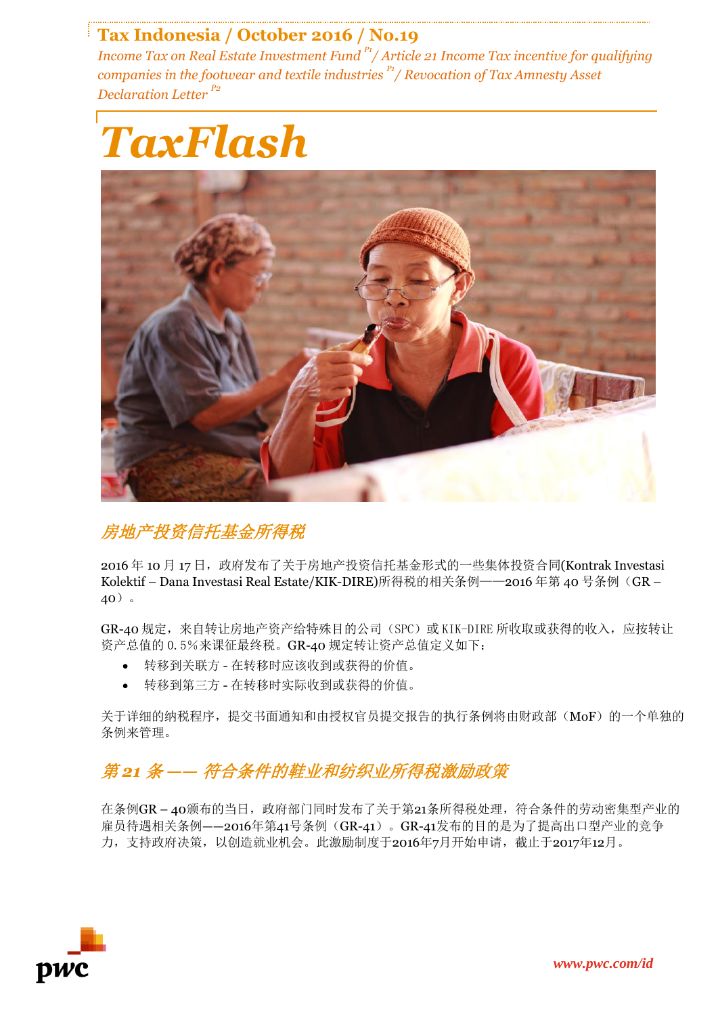## **Tax Indonesia / October 2016 / No.19**

*Income Tax on Real Estate Investment Fund P1/ Article 21 Income Tax incentive for qualifying companies in the footwear and textile industries P1/ Revocation of Tax Amnesty Asset Declaration Letter P2*





#### 房地产投资信托基金所得税

2016 年 10 月 17 日,政府发布了关于房地产投资信托基金形式的一些集体投资合同(Kontrak Investasi Kolektif - Dana Investasi Real Estate/KIK-DIRE)所得税的相关条例——2016年第40号条例(GR -40)。

GR-40 规定,来自转让房地产资产给特殊目的公司(SPC)或 KIK-DIRE 所收取或获得的收入,应按转让 资产总值的 0.5%来课征最终税。GR-40 规定转让资产总值定义如下:

- 转移到关联方 在转移时应该收到或获得的价值。
- 转移到第三方 在转移时实际收到或获得的价值。

关于详细的纳税程序,提交书面通知和由授权官员提交报告的执行条例将由财政部(MoF)的一个单独的 条例来管理。

## 第 *21* 条 *——* 符合条件的鞋业和纺织业所得税激励政策

在条例GR-40颁布的当日,政府部门同时发布了关于第21条所得税处理,符合条件的劳动密集型产业的 雇员待遇相关条例--2016年第41号条例(GR-41)。GR-41发布的目的是为了提高出口型产业的竞争 力,支持政府决策,以创造就业机会。此激励制度于2016年7月开始申请,截止于2017年12月。

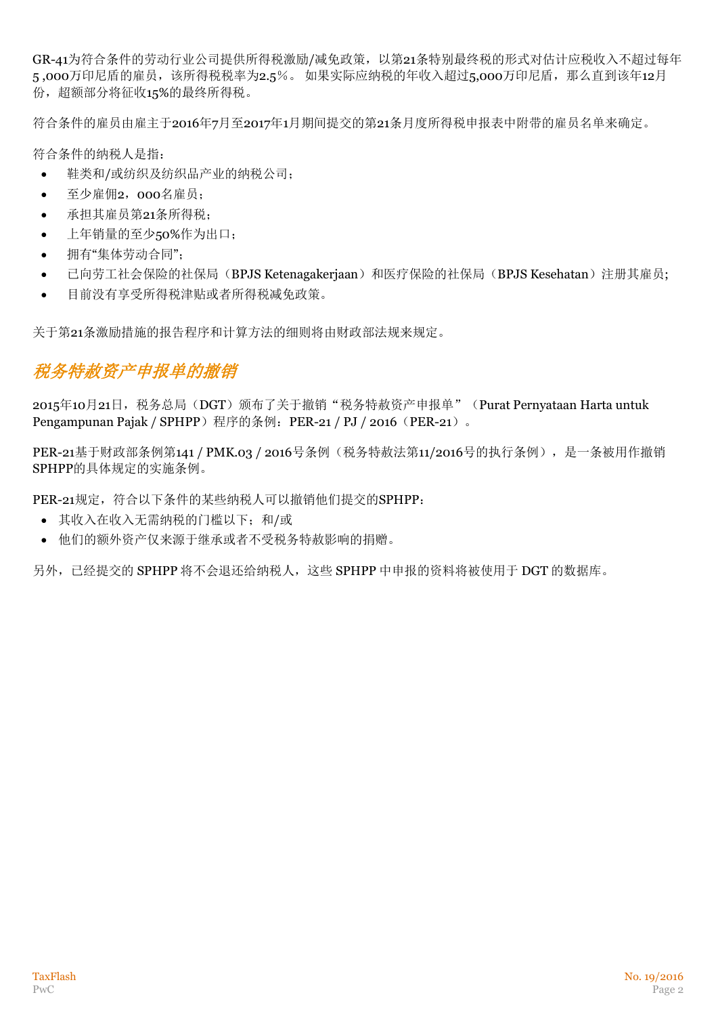GR-41为符合条件的劳动行业公司提供所得税激励/减免政策,以第21条特别最终税的形式对估计应税收入不超过每年 5,000万印尼盾的雇员,该所得税税率为2.5%。如果实际应纳税的年收入超过5,000万印尼盾,那么直到该年12月 份,超额部分将征收15%的最终所得税。

符合条件的雇员由雇主于2016年7月至2017年1月期间提交的第21条月度所得税申报表中附带的雇员名单来确定。

符合条件的纳税人是指:

- 鞋类和/或纺织及纺织品产业的纳税公司;
- 至少雇佣2,000名雇员;
- 承担其雇员第21条所得税;
- 上年销量的至少50%作为出口;
- 拥有"集体劳动合同";
- 已向劳工社会保险的社保局(BPJS Ketenagakerjaan)和医疗保险的社保局(BPJS Kesehatan)注册其雇员;
- 目前没有享受所得税津贴或者所得税减免政策。

关于第21条激励措施的报告程序和计算方法的细则将由财政部法规来规定。

# 税务特赦资产申报单的撤销

2015年10月21日,税务总局(DGT)颁布了关于撤销"税务特赦资产申报单"(Purat Pernyataan Harta untuk Pengampunan Pajak / SPHPP)程序的条例: PER-21 / PJ / 2016 (PER-21)。

PER-21基于财政部条例第141 / PMK.03 / 2016号条例(税务特赦法第11/2016号的执行条例), 是一条被用作撤销 SPHPP的具体规定的实施条例。

PER-21规定,符合以下条件的某些纳税人可以撤销他们提交的SPHPP:

- 其收入在收入无需纳税的门槛以下;和/或
- 他们的额外资产仅来源于继承或者不受税务特赦影响的捐赠。

另外,已经提交的 SPHPP 将不会退还给纳税人,这些 SPHPP 中申报的资料将被使用于 DGT 的数据库。